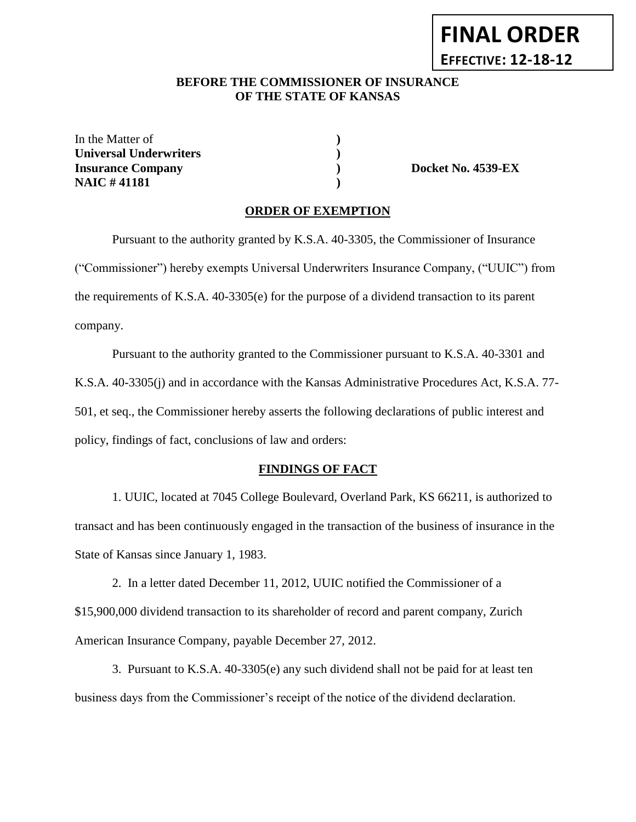# **FINAL ORDER EFFECTIVE: 12-18-12**

### **BEFORE THE COMMISSIONER OF INSURANCE OF THE STATE OF KANSAS**

In the Matter of **) Universal Underwriters ) Insurance Company ) Docket No. 4539-EX NAIC # 41181 )**

#### **ORDER OF EXEMPTION**

Pursuant to the authority granted by K.S.A. 40-3305, the Commissioner of Insurance ("Commissioner") hereby exempts Universal Underwriters Insurance Company, ("UUIC") from the requirements of K.S.A. 40-3305(e) for the purpose of a dividend transaction to its parent company.

Pursuant to the authority granted to the Commissioner pursuant to K.S.A. 40-3301 and K.S.A. 40-3305(j) and in accordance with the Kansas Administrative Procedures Act, K.S.A. 77- 501, et seq., the Commissioner hereby asserts the following declarations of public interest and policy, findings of fact, conclusions of law and orders:

#### **FINDINGS OF FACT**

1. UUIC, located at 7045 College Boulevard, Overland Park, KS 66211, is authorized to transact and has been continuously engaged in the transaction of the business of insurance in the State of Kansas since January 1, 1983.

2. In a letter dated December 11, 2012, UUIC notified the Commissioner of a \$15,900,000 dividend transaction to its shareholder of record and parent company, Zurich American Insurance Company, payable December 27, 2012.

3. Pursuant to K.S.A. 40-3305(e) any such dividend shall not be paid for at least ten business days from the Commissioner's receipt of the notice of the dividend declaration.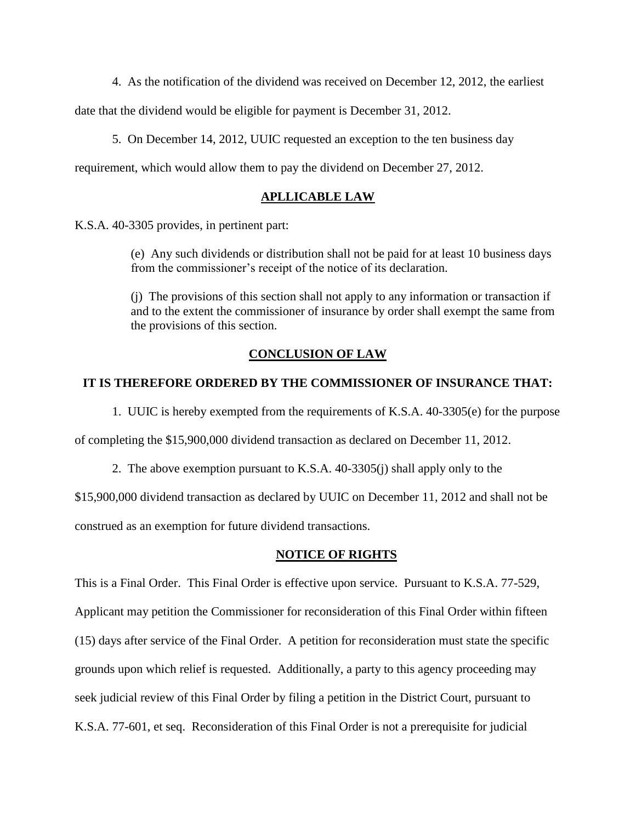4. As the notification of the dividend was received on December 12, 2012, the earliest

date that the dividend would be eligible for payment is December 31, 2012.

5. On December 14, 2012, UUIC requested an exception to the ten business day

requirement, which would allow them to pay the dividend on December 27, 2012.

#### **APLLICABLE LAW**

K.S.A. 40-3305 provides, in pertinent part:

(e) Any such dividends or distribution shall not be paid for at least 10 business days from the commissioner's receipt of the notice of its declaration.

(j) The provisions of this section shall not apply to any information or transaction if and to the extent the commissioner of insurance by order shall exempt the same from the provisions of this section.

#### **CONCLUSION OF LAW**

#### **IT IS THEREFORE ORDERED BY THE COMMISSIONER OF INSURANCE THAT:**

1. UUIC is hereby exempted from the requirements of K.S.A. 40-3305(e) for the purpose of completing the \$15,900,000 dividend transaction as declared on December 11, 2012.

2. The above exemption pursuant to K.S.A. 40-3305(j) shall apply only to the

\$15,900,000 dividend transaction as declared by UUIC on December 11, 2012 and shall not be construed as an exemption for future dividend transactions.

#### **NOTICE OF RIGHTS**

This is a Final Order. This Final Order is effective upon service. Pursuant to K.S.A. 77-529, Applicant may petition the Commissioner for reconsideration of this Final Order within fifteen (15) days after service of the Final Order. A petition for reconsideration must state the specific grounds upon which relief is requested. Additionally, a party to this agency proceeding may seek judicial review of this Final Order by filing a petition in the District Court, pursuant to K.S.A. 77-601, et seq. Reconsideration of this Final Order is not a prerequisite for judicial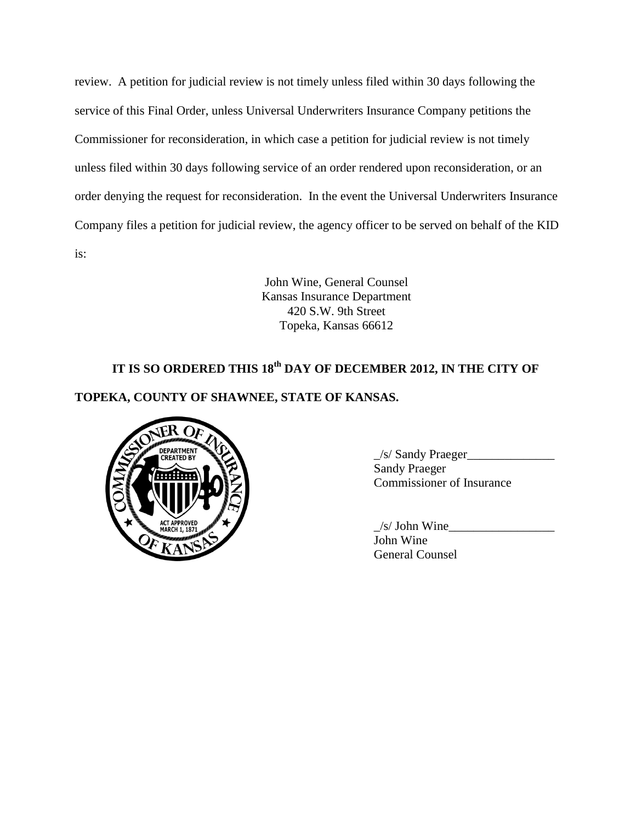review. A petition for judicial review is not timely unless filed within 30 days following the service of this Final Order, unless Universal Underwriters Insurance Company petitions the Commissioner for reconsideration, in which case a petition for judicial review is not timely unless filed within 30 days following service of an order rendered upon reconsideration, or an order denying the request for reconsideration. In the event the Universal Underwriters Insurance Company files a petition for judicial review, the agency officer to be served on behalf of the KID is:

> John Wine, General Counsel Kansas Insurance Department 420 S.W. 9th Street Topeka, Kansas 66612

# **IT IS SO ORDERED THIS 18th DAY OF DECEMBER 2012, IN THE CITY OF**

## **TOPEKA, COUNTY OF SHAWNEE, STATE OF KANSAS.**



 $\angle$ s/ Sandy Praeger $\angle$ Sandy Praeger Commissioner of Insurance

 $/s/$  John Wine John Wine General Counsel